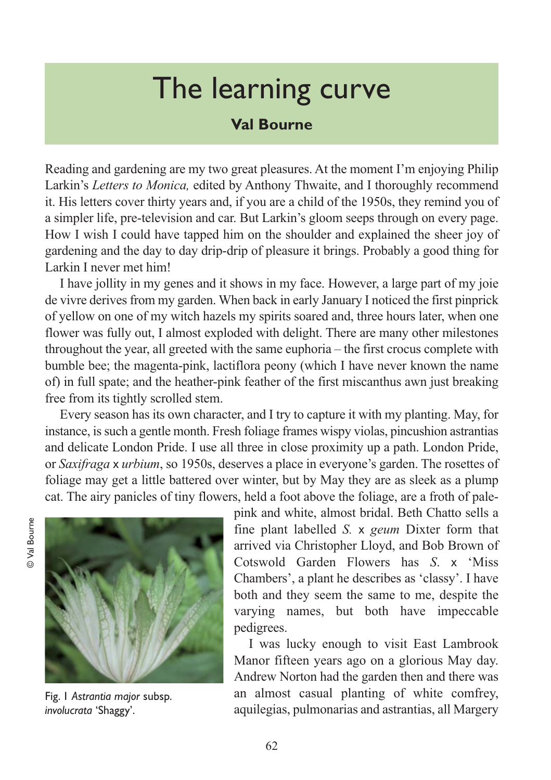## The learning curve

## **Val Bourne**

Reading and gardening are my two great pleasures. At the moment I'm enjoying Philip Larkin's *Letters to Monica,* edited by Anthony Thwaite, and I thoroughly recommend it. His letters cover thirty years and, if you are a child of the 1950s, they remind you of a simpler life, pre-television and car. But Larkin's gloom seeps through on every page. How I wish I could have tapped him on the shoulder and explained the sheer joy of gardening and the day to day drip-drip of pleasure it brings. Probably a good thing for Larkin I never met him!

I have jollity in my genes and it shows in my face. However, a large part of my joie de vivre derives from my garden. When back in early January I noticed the first pinprick of yellow on one of my witch hazels my spirits soared and, three hours later, when one flower was fully out, I almost exploded with delight. There are many other milestones throughout the year, all greeted with the same euphoria – the first crocus complete with bumble bee; the magenta-pink, lactiflora peony (which I have never known the name of) in full spate; and the heather-pink feather of the first miscanthus awn just breaking free from its tightly scrolled stem.

Every season has its own character, and I try to capture it with my planting. May, for instance, is such a gentle month. Fresh foliage frames wispy violas, pincushion astrantias and delicate London Pride. I use all three in close proximity up a path. London Pride, or *Saxifraga* x *urbium*, so 1950s, deserves a place in everyone's garden. The rosettes of foliage may get a little battered over winter, but by May they are as sleek as a plump cat. The airy panicles of tiny flowers, held a foot above the foliage, are a froth of pale-





Fig. 1 *Astrantia major* subsp. *involucrata* 'Shaggy'.

pink and white, almost bridal. Beth Chatto sells a fine plant labelled *S.* x *geum* Dixter form that arrived via Christopher Lloyd, and Bob Brown of Cotswold Garden Flowers has *S*. x 'Miss Chambers', a plant he describes as 'classy'. I have both and they seem the same to me, despite the varying names, but both have impeccable pedigrees.

I was lucky enough to visit East Lambrook Manor fifteen years ago on a glorious May day. Andrew Norton had the garden then and there was an almost casual planting of white comfrey, aquilegias, pulmonarias and astrantias, all Margery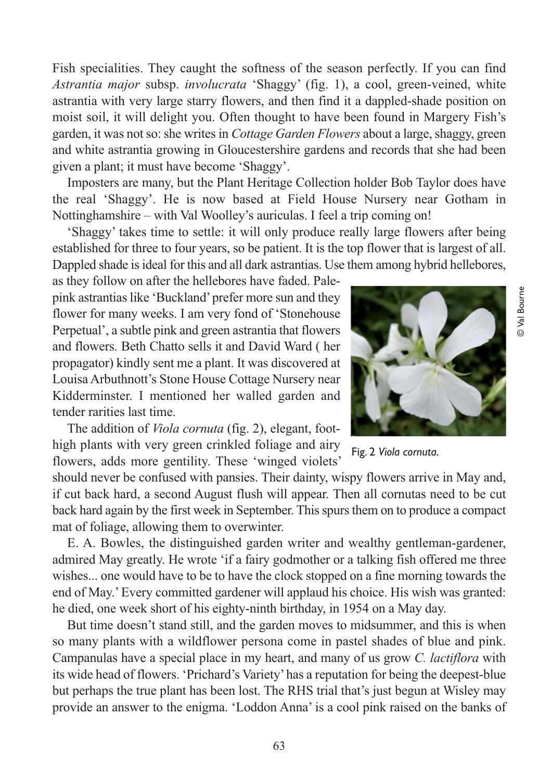Fish specialities. They caught the softness of the season perfectly. If you can find *Astrantia major* subsp. *involucrata* 'Shaggy' (fig. 1), a cool, green-veined, white astrantia with very large starry flowers, and then find it a dappled-shade position on moist soil, it will delight you. Often thought to have been found in Margery Fish's garden, it was not so: she writes in *Cottage Garden Flowers* about a large, shaggy, green and white astrantia growing in Gloucestershire gardens and records that she had been given a plant; it must have become 'Shaggy'.

Imposters are many, but the Plant Heritage Collection holder Bob Taylor does have the real 'Shaggy'. He is now based at Field House Nursery near Gotham in Nottinghamshire – with Val Woolley's auriculas. I feel a trip coming on!

'Shaggy' takes time to settle: it will only produce really large flowers after being established for three to four years, so be patient. It is the top flower that is largest of all. Dappled shade is ideal for this and all dark astrantias. Use them among hybrid hellebores,

as they follow on after the hellebores have faded. Palepink astrantias like 'Buckland' prefer more sun and they flower for many weeks. I am very fond of 'Stonehouse Perpetual', a subtle pink and green astrantia that flowers and flowers. Beth Chatto sells it and David Ward ( her propagator) kindly sent me a plant. It was discovered at Louisa Arbuthnott's Stone House Cottage Nursery near Kidderminster. I mentioned her walled garden and tender rarities last time.

The addition of *Viola cornuta* (fig. 2), elegant, foothigh plants with very green crinkled foliage and airy flowers, adds more gentility. These 'winged violets'

should never be confused with pansies. Their dainty, wispy flowers arrive in May and, if cut back hard, a second August flush will appear. Then all cornutas need to be cut back hard again by the first week in September. This spurs them on to produce a compact mat of foliage, allowing them to overwinter.

E. A. Bowles, the distinguished garden writer and wealthy gentleman-gardener, admired May greatly. He wrote 'if a fairy godmother or a talking fish offered me three wishes... one would have to be to have the clock stopped on a fine morning towards the end of May.' Every committed gardener will applaud his choice. His wish was granted: he died, one week short of his eighty-ninth birthday, in 1954 on a May day.

But time doesn't stand still, and the garden moves to midsummer, and this is when so many plants with a wildflower persona come in pastel shades of blue and pink. Campanulas have a special place in my heart, and many of us grow *C. lactiflora* with its wide head of flowers. 'Prichard's Variety' has a reputation for being the deepest-blue but perhaps the true plant has been lost. The RHS trial that's just begun at Wisley may provide an answer to the enigma. 'Loddon Anna' is a cool pink raised on the banks of



Fig. 2 *Viola cornuta*.